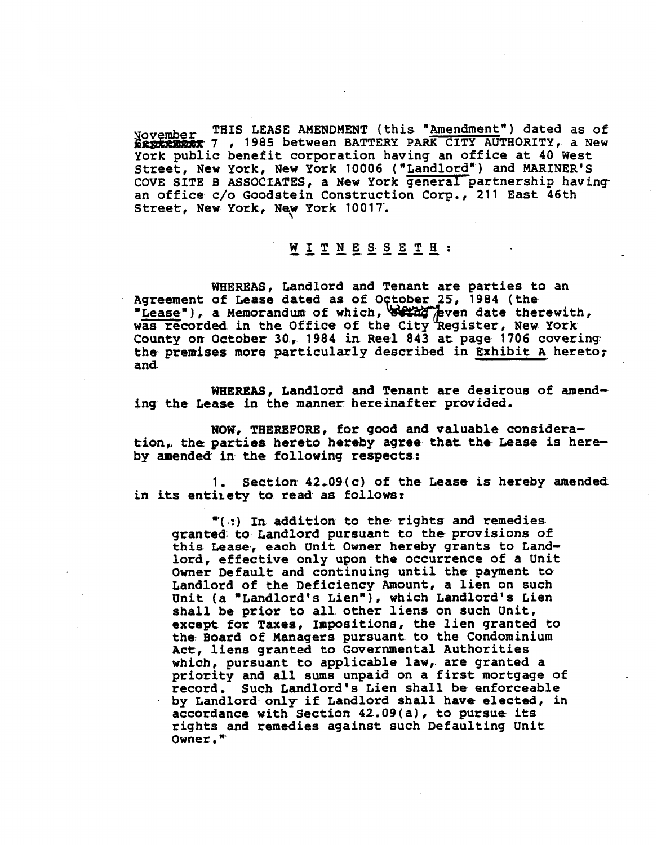**November THIS LEASE AMENDMENT (this "Amendment") dated as of<br><b>Bertenber** 7 , 1985 between BATTERY PARK CITY AUTHORITY, a New York public benefit corporation having- an office at 40 West Street, New York, New York 10006 ("Landlord") and MARINER'S COVE SITE B ASSOCIATES, a New York general partnership having an office c/o Goodstein Construction Corp., 211 East 46th Street, New York, New York 10017.

## WITNESSETH:

WHEREAS, Landlord and Tenant are parties to an Agreement of Lease dated as of October 25, 1984 (the "Lease"), a Memorandum of which, selling per date therewith, WITNESS CONTRACT CONTRACT CONTRACT THE STREET, New York, New York 10017.<br>
WITNESS ETH:<br>
WHEREAS, Landlord and Tenant are parties to an<br>
Agreement of Lease dated as of October 25, 1984 (the<br>
"Lease"), a Memorandum of which, was recorded in the Office of the City Register, New York County on October 30, 1984 in Reel 843 at page 1706 covering: the premises more particularly described in Exhibit A hereto; and

WHEREAS, Landlord and Tenant are desirous of amending the Lease in the manner hereinafter provided,

NOW, THEREFORE, for good and valuable consideration, the parties hereto hereby agree that the Lease is hereby amended in the following respects:

1. Section  $42.09(c)$  of the Lease is hereby amended in its entirety to read as follows:

**\*(I:)** In addition to the rights and remedies granted. to Landlord pursuant to the provisions of this Lease, each Unit Owner **hereby** grants to Landlord, effective only upon the occurrence of a Unit Owner Default and continuing until the payment to Landlord of the Deficiency Amount, a lien on such Unit (a "Landlord's Lien"), which Landlord's Lien shall be prior to all other liens on such Unit, except for Taxes, Impositions, the lien granted to the Board of Managers pursuant to the Condominium Act, liens granted to Governmental Authorities which, pursuant to applicable law, are granted a priority and all sums unpaid on a first mortgage of record. Such Landlord's Lien shall be enforceable by Landlord only if Landlord shall have elected, in accordance with Section 42.09(a), to pursue its rights and remedies against such Defaulting Unit Owner. "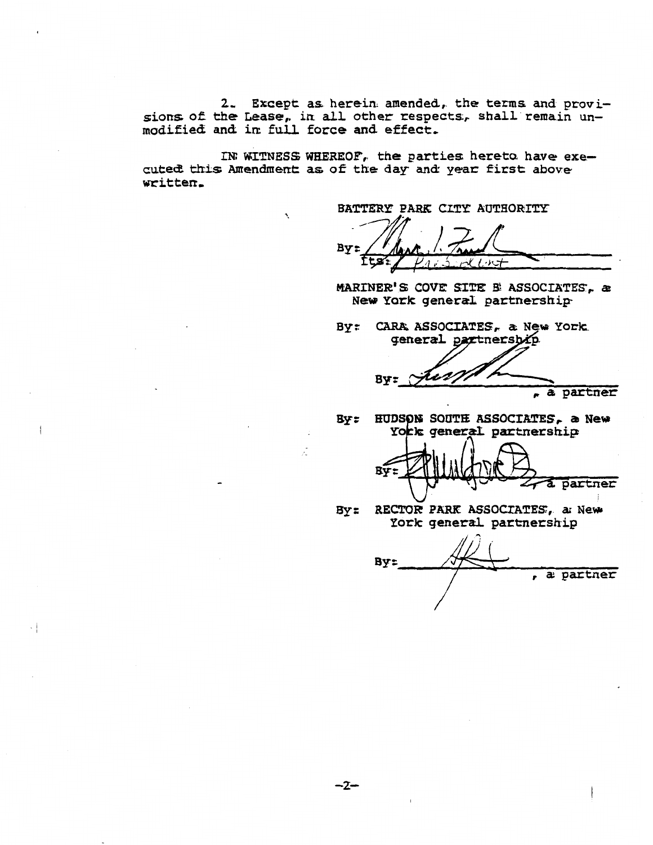2. Except as herein amended, the terms and provisions of the Lease, in all other respects, shall remain unmodified and in full force and effect.

IN WITNESS WHEREOF, the parties hereto have executed this Amendment as of the day and year first above written.

BATTERY PARK CITY AUTHORITY

By:

MARINER'S COVE SITE B ASSOCIATES, a New York general partnership

By: CARA ASSOCIATES, a New York. general partnersbip

**By:** a partner

By: HUDSON SOUTH ASSOCIATES, a New York general partnership

By: a partner

RECTOR PARK ASSOCIATES, a New  $By:$ York general partnership

By: , a partner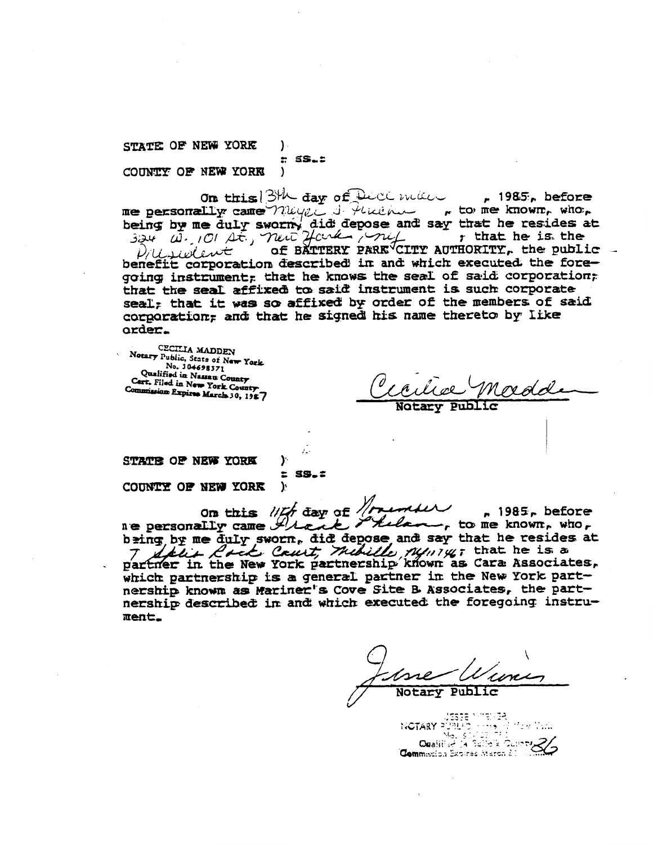STATE OF NEW YORK  $\mathcal{L}$  $E$  SS. $E$ COUNTY OF NEW YORK  $\lambda$ 

On this 3th day of Duce me  $\sim$  1985, before me personally came nugged there are to me known, who, being by me duly sworm, did depose and say that he resides at  $324$  ( $\theta$ ,  $10$ )  $4\pi$ ,  $74\pi$   $2$  ( $\theta$ )  $4\pi$ ,  $74\pi$ of BÄTTERY PARK CITY AUTHORITY, the public -Prisident benefit corporation described in and which executed the foregoing instrument; that he knows the seal of said corporation; that the seal affixed to said instrument is such corporate seal; that it was so affixed by order of the members of said corporation; and that he signed his name thereto by like order.

CECILIA MADDEN Notary Public, State of New York. No. 304698371 Qualified in Nassau County Cart. Filed in New York County Commission Expires March 30, 1987

STATE OF NEW YORK

 $E$  SS. $E$ 

).

 $\mathbf{r}$ 

COUNTY OF NEW YORK

on this lift day of trenter  $n 1985$ , before Lelan, to me known, who, bring, by me duly sworn, did depose and say that he resides at The fit the New York partnership known as Cara Associates, which partnership is a general partner in the New York partnership known as Mariner's Cove Site B Associates, the partnership described in and which executed the foregoing instrument.

SESTE MINITER<br>NOTARY PUBLICS HAVE WITH Notice<br>Opalified In Salid & Cupry Commission Expires March 2011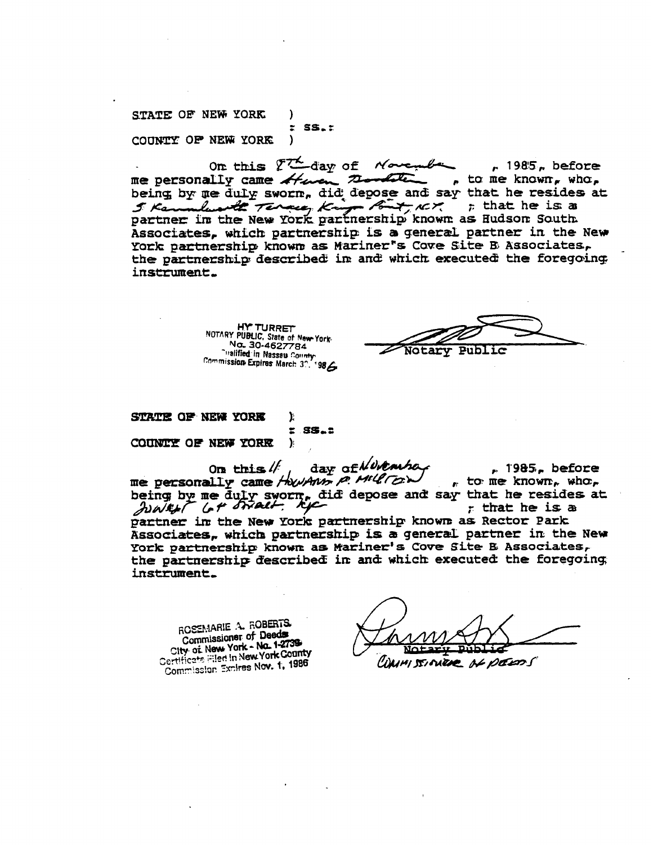STATE OF NEW YORK -1  $z$  SS. $z$ COUNTY OF NEW YORK  $\mathcal{E}$ 

On this ?The day of Novem  $r$  1985, before , to me known, who, me personally came there the the being by me duly sworm, did depose and say that he resides at 5 Kannabus 2 Tennes King But NCK ; that he is a partner in the New York partnership known as Hudson South Associates, which partnership is a general partner in the New York partnership known as Mariner's Cove Site B Associates, the partnership described in and which executed the foregoing instrument.

> **HY TURRET** NOTARY PUBLIC, State of New York-No. 30-4627784 Valified in Nassau County

Notarv Public

STATE OF NEW YORK ን: È.  $S5.2$ COUNTY OF NEW YORK ).

day of Nutarha On this  $\mathbb{N}$  $r$  1985, before me personally came HowAns p. Miller  $_{r}$  to me known, who, being by me duly sworn, did depose and say that he resides at JUWELT G+ STRACH, KIC r that he is a partner in the New York partnership known as Rector Park Associates, which partnership is a general partner in the New York partnership known as Mariner's Cove Site B Associates, the partnership described in and which executed the foregoing instrument.

ROSEMARIE A. ROBERTS. **Commissioner of Deeds** City of New York - No. 1-2739 Certificate Filed in New York County Commission Exnires Nov. 1, 1986

WAIM STITUEDE OF DEEDS